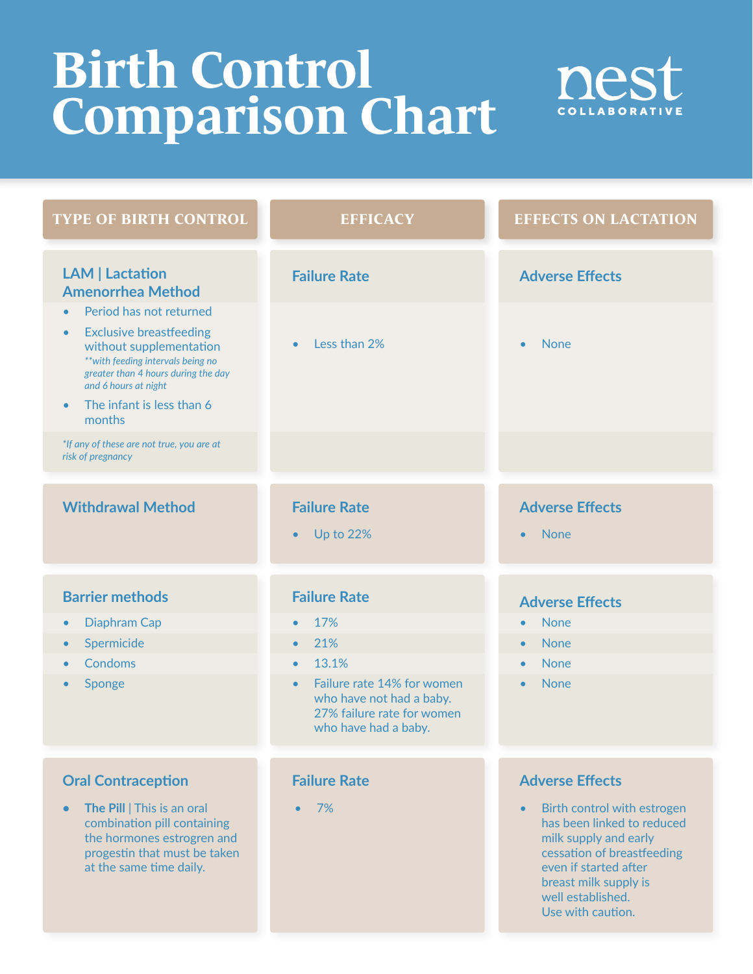## **Birth Control Comparison Chart**



| <b>TYPE OF BIRTH CONTROL</b>                                                                                                                                                                                                                                            | <b>EFFICACY</b>                                                                                                           | <b>EFFECTS ON LACTATION</b>                                                                                                                                                                                               |
|-------------------------------------------------------------------------------------------------------------------------------------------------------------------------------------------------------------------------------------------------------------------------|---------------------------------------------------------------------------------------------------------------------------|---------------------------------------------------------------------------------------------------------------------------------------------------------------------------------------------------------------------------|
| <b>LAM   Lactation</b><br><b>Amenorrhea Method</b>                                                                                                                                                                                                                      | <b>Failure Rate</b>                                                                                                       | <b>Adverse Effects</b>                                                                                                                                                                                                    |
| Period has not returned<br>$\bullet$<br><b>Exclusive breastfeeding</b><br>$\bullet$<br>without supplementation<br>** with feeding intervals being no<br>greater than 4 hours during the day<br>and 6 hours at night<br>The infant is less than 6<br>$\bullet$<br>months | Less than 2%                                                                                                              | <b>None</b><br>$\bullet$                                                                                                                                                                                                  |
| *If any of these are not true, you are at<br>risk of pregnancy                                                                                                                                                                                                          |                                                                                                                           |                                                                                                                                                                                                                           |
| <b>Withdrawal Method</b>                                                                                                                                                                                                                                                | <b>Failure Rate</b><br><b>Up to 22%</b><br>$\bullet$                                                                      | <b>Adverse Effects</b><br><b>None</b><br>$\bullet$                                                                                                                                                                        |
| <b>Barrier methods</b>                                                                                                                                                                                                                                                  | <b>Failure Rate</b>                                                                                                       | <b>Adverse Effects</b>                                                                                                                                                                                                    |
| <b>Diaphram Cap</b><br>$\bullet$                                                                                                                                                                                                                                        | 17%<br>$\bullet$                                                                                                          | <b>None</b><br>$\bullet$                                                                                                                                                                                                  |
| Spermicide<br>$\bullet$                                                                                                                                                                                                                                                 | 21%<br>$\bullet$                                                                                                          | <b>None</b><br>$\bullet$                                                                                                                                                                                                  |
| Condoms                                                                                                                                                                                                                                                                 | 13.1%<br>$\bullet$                                                                                                        | <b>None</b><br>$\bullet$                                                                                                                                                                                                  |
| Sponge                                                                                                                                                                                                                                                                  | Failure rate 14% for women<br>$\bullet$<br>who have not had a baby.<br>27% failure rate for women<br>who have had a baby. | <b>None</b><br>$\bullet$                                                                                                                                                                                                  |
|                                                                                                                                                                                                                                                                         |                                                                                                                           |                                                                                                                                                                                                                           |
| <b>Oral Contraception</b>                                                                                                                                                                                                                                               | <b>Failure Rate</b>                                                                                                       | <b>Adverse Effects</b>                                                                                                                                                                                                    |
| The Pill   This is an oral<br>$\bullet$<br>combination pill containing<br>the hormones estrogren and<br>progestin that must be taken<br>at the same time daily.                                                                                                         | 7%<br>$\bullet$                                                                                                           | Birth control with estrogen<br>$\bullet$<br>has been linked to reduced<br>milk supply and early<br>cessation of breastfeeding<br>even if started after<br>breast milk supply is<br>well established.<br>Use with caution. |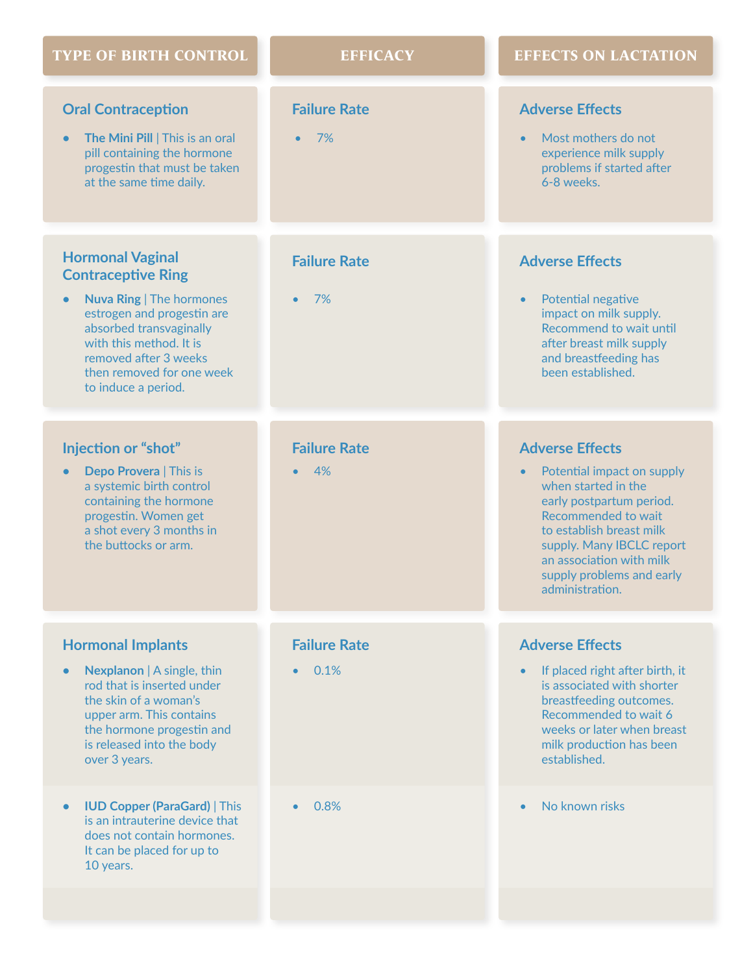| <b>TYPE OF BIRTH CONTROL</b>                                                                                                                                                                                                                             | <b>EFFICACY</b>           | <b>EFFECTS ON LACTATION</b>                                                                                                                                                                                                                                                      |
|----------------------------------------------------------------------------------------------------------------------------------------------------------------------------------------------------------------------------------------------------------|---------------------------|----------------------------------------------------------------------------------------------------------------------------------------------------------------------------------------------------------------------------------------------------------------------------------|
| <b>Oral Contraception</b><br>The Mini Pill   This is an oral<br>pill containing the hormone<br>progestin that must be taken<br>at the same time daily.                                                                                                   | <b>Failure Rate</b><br>7% | <b>Adverse Effects</b><br>Most mothers do not<br>experience milk supply<br>problems if started after<br>6-8 weeks.                                                                                                                                                               |
| <b>Hormonal Vaginal</b><br><b>Contraceptive Ring</b><br><b>Nuva Ring   The hormones</b><br>estrogen and progestin are<br>absorbed transvaginally<br>with this method. It is<br>removed after 3 weeks<br>then removed for one week<br>to induce a period. | <b>Failure Rate</b><br>7% | <b>Adverse Effects</b><br>Potential negative<br>$\bullet$<br>impact on milk supply.<br>Recommend to wait until<br>after breast milk supply<br>and breastfeeding has<br>been established.                                                                                         |
| Injection or "shot"<br>Depo Provera   This is<br>$\bullet$<br>a systemic birth control<br>containing the hormone<br>progestin. Women get<br>a shot every 3 months in<br>the buttocks or arm.                                                             | <b>Failure Rate</b><br>4% | <b>Adverse Effects</b><br>Potential impact on supply<br>$\bullet$<br>when started in the<br>early postpartum period.<br>Recommended to wait<br>to establish breast milk<br>supply. Many IBCLC report<br>an association with milk<br>supply problems and early<br>administration. |
| <b>Hormonal Implants</b>                                                                                                                                                                                                                                 | <b>Failure Rate</b>       | <b>Adverse Effects</b>                                                                                                                                                                                                                                                           |
| Nexplanon   A single, thin<br>$\bullet$<br>rod that is inserted under<br>the skin of a woman's<br>upper arm. This contains<br>the hormone progestin and<br>is released into the body<br>over 3 years.                                                    | 0.1%                      | If placed right after birth, it<br>is associated with shorter<br>breastfeeding outcomes.<br>Recommended to wait 6<br>weeks or later when breast<br>milk production has been<br>established.                                                                                      |
| <b>IUD Copper (ParaGard)   This</b><br>is an intrauterine device that<br>does not contain hormones.<br>It can be placed for up to<br>10 years.                                                                                                           | 0.8%                      | No known risks                                                                                                                                                                                                                                                                   |